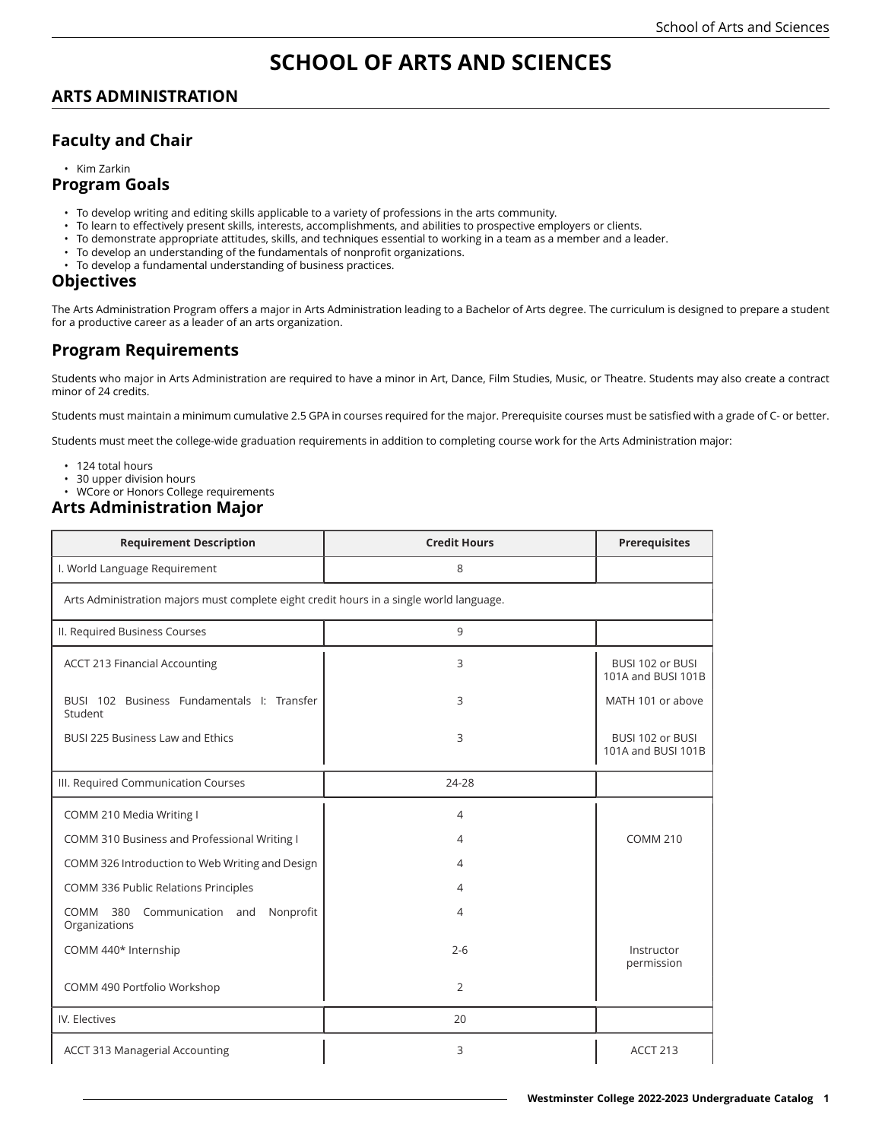# **SCHOOL OF ARTS AND SCIENCES**

### **ARTS ADMINISTRATION**

### **Faculty and Chair**

• Kim Zarkin

#### **Program Goals**

- To develop writing and editing skills applicable to a variety of professions in the arts community.
- To learn to effectively present skills, interests, accomplishments, and abilities to prospective employers or clients.
- To demonstrate appropriate attitudes, skills, and techniques essential to working in a team as a member and a leader.
- To develop an understanding of the fundamentals of nonprofit organizations.
- To develop a fundamental understanding of business practices.

#### **Objectives**

The Arts Administration Program offers a major in Arts Administration leading to a Bachelor of Arts degree. The curriculum is designed to prepare a student for a productive career as a leader of an arts organization.

## **Program Requirements**

Students who major in Arts Administration are required to have a minor in Art, Dance, Film Studies, Music, or Theatre. Students may also create a contract minor of 24 credits.

Students must maintain a minimum cumulative 2.5 GPA in courses required for the major. Prerequisite courses must be satisfied with a grade of C- or better.

Students must meet the college-wide graduation requirements in addition to completing course work for the Arts Administration major:

- 124 total hours
- 30 upper division hours
- WCore or Honors College requirements

#### **Arts Administration Major**

| <b>Requirement Description</b>                                                          | <b>Credit Hours</b> | <b>Prerequisites</b>                   |  |  |
|-----------------------------------------------------------------------------------------|---------------------|----------------------------------------|--|--|
| I. World Language Requirement                                                           | 8                   |                                        |  |  |
| Arts Administration majors must complete eight credit hours in a single world language. |                     |                                        |  |  |
| II. Required Business Courses                                                           | 9                   |                                        |  |  |
| <b>ACCT 213 Financial Accounting</b>                                                    | 3                   | BUSI 102 or BUSI<br>101A and BUSI 101B |  |  |
| BUSI 102 Business Fundamentals I: Transfer<br>Student                                   | 3                   | MATH 101 or above                      |  |  |
| <b>BUSI 225 Business Law and Ethics</b>                                                 | 3                   | BUSI 102 or BUSI<br>101A and BUSI 101B |  |  |
| III. Required Communication Courses                                                     | 24-28               |                                        |  |  |
| COMM 210 Media Writing I                                                                | 4                   |                                        |  |  |
| COMM 310 Business and Professional Writing I                                            | 4                   | <b>COMM 210</b>                        |  |  |
| COMM 326 Introduction to Web Writing and Design                                         | 4                   |                                        |  |  |
| COMM 336 Public Relations Principles                                                    | 4                   |                                        |  |  |
| Communication and<br>Nonprofit<br>COMM<br>380<br>Organizations                          | 4                   |                                        |  |  |
| COMM 440* Internship                                                                    | $2 - 6$             | Instructor<br>permission               |  |  |
| COMM 490 Portfolio Workshop                                                             | $\overline{2}$      |                                        |  |  |
| IV. Electives                                                                           | 20                  |                                        |  |  |
| <b>ACCT 313 Managerial Accounting</b>                                                   | 3                   | <b>ACCT 213</b>                        |  |  |